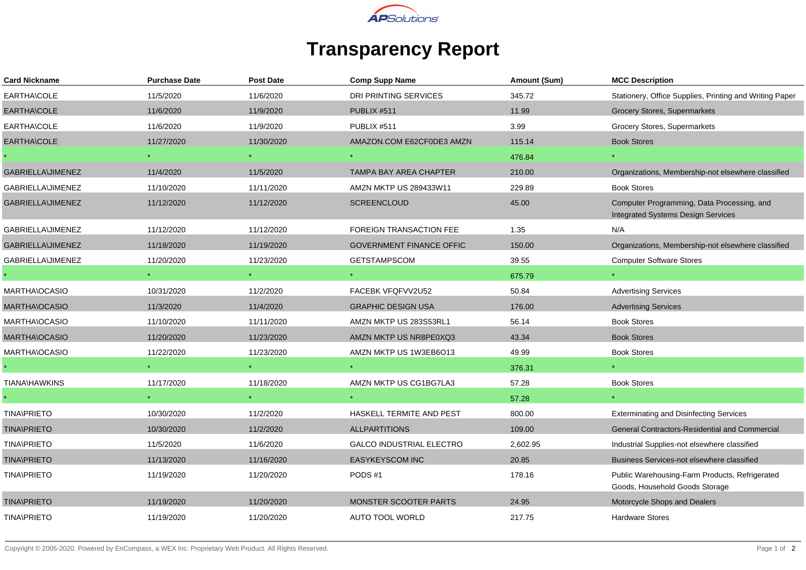

## **Transparency Report**

| <b>Card Nickname</b>     | <b>Purchase Date</b> | Post Date  | <b>Comp Supp Name</b>           | Amount (Sum) | <b>MCC Description</b>                                                                  |
|--------------------------|----------------------|------------|---------------------------------|--------------|-----------------------------------------------------------------------------------------|
| EARTHA\COLE              | 11/5/2020            | 11/6/2020  | <b>DRI PRINTING SERVICES</b>    | 345.72       | Stationery, Office Supplies, Printing and Writing Paper                                 |
| EARTHA\COLE              | 11/6/2020            | 11/9/2020  | PUBLIX #511                     | 11.99        | Grocery Stores, Supermarkets                                                            |
| EARTHA\COLE              | 11/6/2020            | 11/9/2020  | PUBLIX #511                     | 3.99         | <b>Grocery Stores, Supermarkets</b>                                                     |
| EARTHA\COLE              | 11/27/2020           | 11/30/2020 | AMAZON.COM E62CF0DE3 AMZN       | 115.14       | <b>Book Stores</b>                                                                      |
|                          |                      |            |                                 | 476.84       |                                                                                         |
| <b>GABRIELLA\JIMENEZ</b> | 11/4/2020            | 11/5/2020  | TAMPA BAY AREA CHAPTER          | 210.00       | Organizations, Membership-not elsewhere classified                                      |
| GABRIELLA\JIMENEZ        | 11/10/2020           | 11/11/2020 | AMZN MKTP US 289433W11          | 229.89       | <b>Book Stores</b>                                                                      |
| <b>GABRIELLA\JIMENEZ</b> | 11/12/2020           | 11/12/2020 | <b>SCREENCLOUD</b>              | 45.00        | Computer Programming, Data Processing, and<br><b>Integrated Systems Design Services</b> |
| GABRIELLA\JIMENEZ        | 11/12/2020           | 11/12/2020 | FOREIGN TRANSACTION FEE         | 1.35         | N/A                                                                                     |
| <b>GABRIELLA\JIMENEZ</b> | 11/18/2020           | 11/19/2020 | <b>GOVERNMENT FINANCE OFFIC</b> | 150.00       | Organizations, Membership-not elsewhere classified                                      |
| <b>GABRIELLA\JIMENEZ</b> | 11/20/2020           | 11/23/2020 | <b>GETSTAMPSCOM</b>             | 39.55        | <b>Computer Software Stores</b>                                                         |
|                          |                      | $\star$ .  |                                 | 675.79       |                                                                                         |
| MARTHA\OCASIO            | 10/31/2020           | 11/2/2020  | FACEBK VFQFVV2U52               | 50.84        | <b>Advertising Services</b>                                                             |
| <b>MARTHA\OCASIO</b>     | 11/3/2020            | 11/4/2020  | <b>GRAPHIC DESIGN USA</b>       | 176.00       | <b>Advertising Services</b>                                                             |
| MARTHA\OCASIO            | 11/10/2020           | 11/11/2020 | AMZN MKTP US 283S53RL1          | 56.14        | <b>Book Stores</b>                                                                      |
| <b>MARTHA\OCASIO</b>     | 11/20/2020           | 11/23/2020 | AMZN MKTP US NR8PE0XQ3          | 43.34        | <b>Book Stores</b>                                                                      |
| MARTHA\OCASIO            | 11/22/2020           | 11/23/2020 | AMZN MKTP US 1W3EB6O13          | 49.99        | <b>Book Stores</b>                                                                      |
|                          |                      | $\star$ .  | $\star$                         | 376.31       | $\star$ .                                                                               |
| <b>TIANA\HAWKINS</b>     | 11/17/2020           | 11/18/2020 | AMZN MKTP US CG1BG7LA3          | 57.28        | <b>Book Stores</b>                                                                      |
|                          |                      | $\star$ .  | $\star$                         | 57.28        | $\star$                                                                                 |
| <b>TINA\PRIETO</b>       | 10/30/2020           | 11/2/2020  | HASKELL TERMITE AND PEST        | 800.00       | <b>Exterminating and Disinfecting Services</b>                                          |
| <b>TINA\PRIETO</b>       | 10/30/2020           | 11/2/2020  | <b>ALLPARTITIONS</b>            | 109.00       | General Contractors-Residential and Commercial                                          |
| <b>TINA\PRIETO</b>       | 11/5/2020            | 11/6/2020  | <b>GALCO INDUSTRIAL ELECTRO</b> | 2,602.95     | Industrial Supplies-not elsewhere classified                                            |
| <b>TINA\PRIETO</b>       | 11/13/2020           | 11/16/2020 | EASYKEYSCOM INC                 | 20.85        | Business Services-not elsewhere classified                                              |
| <b>TINA\PRIETO</b>       | 11/19/2020           | 11/20/2020 | PODS#1                          | 178.16       | Public Warehousing-Farm Products, Refrigerated<br>Goods, Household Goods Storage        |
| <b>TINA\PRIETO</b>       | 11/19/2020           | 11/20/2020 | <b>MONSTER SCOOTER PARTS</b>    | 24.95        | Motorcycle Shops and Dealers                                                            |
| <b>TINA\PRIETO</b>       | 11/19/2020           | 11/20/2020 | <b>AUTO TOOL WORLD</b>          | 217.75       | <b>Hardware Stores</b>                                                                  |